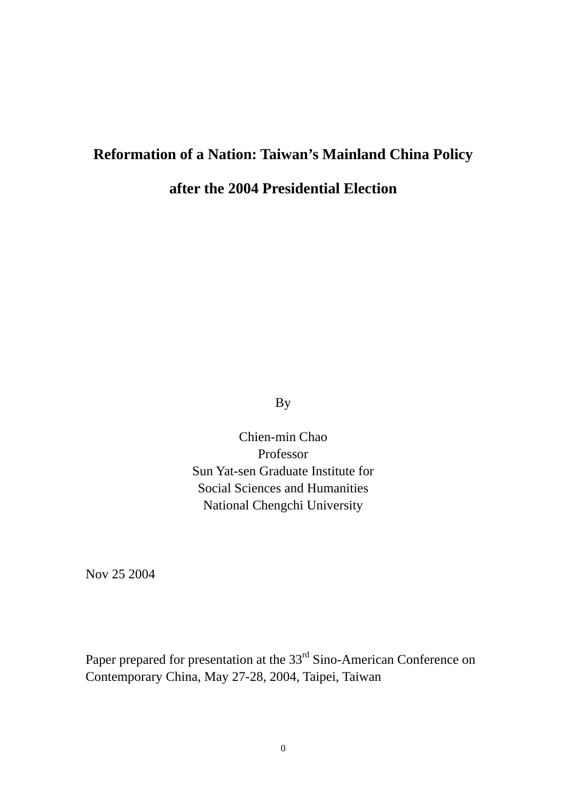# **Reformation of a Nation: Taiwan's Mainland China Policy**

# **after the 2004 Presidential Election**

By

Chien-min Chao Professor Sun Yat-sen Graduate Institute for Social Sciences and Humanities National Chengchi University

Nov 25 2004

Paper prepared for presentation at the 33<sup>rd</sup> Sino-American Conference on Contemporary China, May 27-28, 2004, Taipei, Taiwan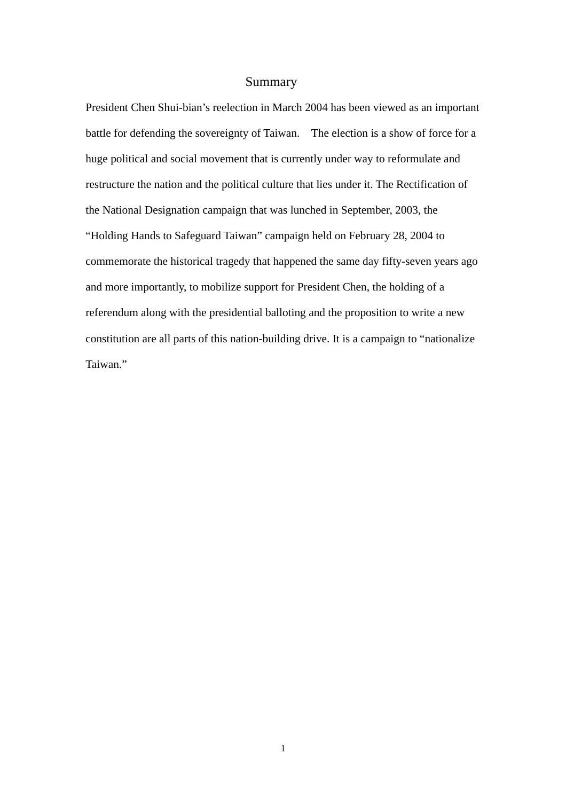# Summary

President Chen Shui-bian's reelection in March 2004 has been viewed as an important battle for defending the sovereignty of Taiwan. The election is a show of force for a huge political and social movement that is currently under way to reformulate and restructure the nation and the political culture that lies under it. The Rectification of the National Designation campaign that was lunched in September, 2003, the "Holding Hands to Safeguard Taiwan" campaign held on February 28, 2004 to commemorate the historical tragedy that happened the same day fifty-seven years ago and more importantly, to mobilize support for President Chen, the holding of a referendum along with the presidential balloting and the proposition to write a new constitution are all parts of this nation-building drive. It is a campaign to "nationalize Taiwan."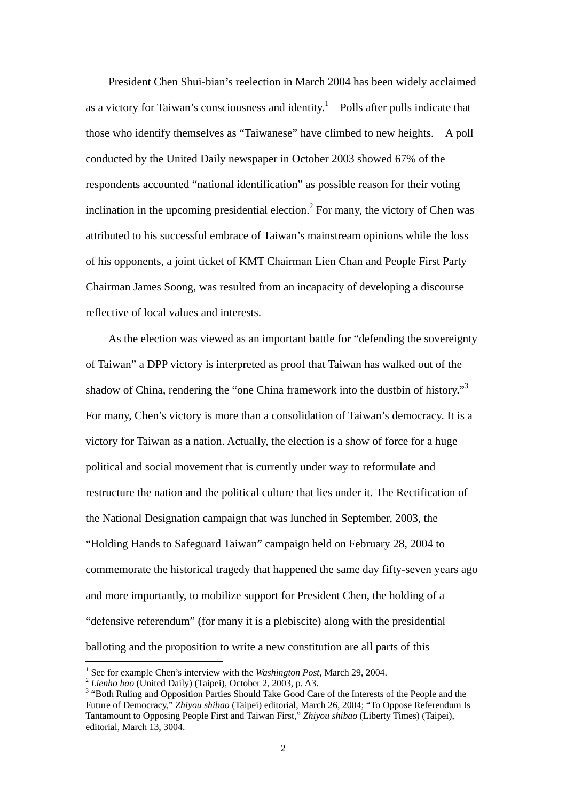President Chen Shui-bian's reelection in March 2004 has been widely acclaimed as a victory for Taiwan's consciousness and identity.<sup>[1](#page-2-0)</sup> Polls after polls indicate that those who identify themselves as "Taiwanese" have climbed to new heights. A poll conducted by the United Daily newspaper in October 2003 showed 67% of the respondents accounted "national identification" as possible reason for their voting inclination in the upcoming presidential election.<sup>[2](#page-2-1)</sup> For many, the victory of Chen was attributed to his successful embrace of Taiwan's mainstream opinions while the loss of his opponents, a joint ticket of KMT Chairman Lien Chan and People First Party Chairman James Soong, was resulted from an incapacity of developing a discourse reflective of local values and interests.

As the election was viewed as an important battle for "defending the sovereignty of Taiwan" a DPP victory is interpreted as proof that Taiwan has walked out of the shadow of China, rendering the "one China framework into the dustbin of history."<sup>[3](#page-2-2)</sup> For many, Chen's victory is more than a consolidation of Taiwan's democracy. It is a victory for Taiwan as a nation. Actually, the election is a show of force for a huge political and social movement that is currently under way to reformulate and restructure the nation and the political culture that lies under it. The Rectification of the National Designation campaign that was lunched in September, 2003, the "Holding Hands to Safeguard Taiwan" campaign held on February 28, 2004 to commemorate the historical tragedy that happened the same day fifty-seven years ago and more importantly, to mobilize support for President Chen, the holding of a "defensive referendum" (for many it is a plebiscite) along with the presidential balloting and the proposition to write a new constitution are all parts of this

<span id="page-2-0"></span><sup>&</sup>lt;sup>1</sup> See for example Chen's interview with the *Washington Post*, March 29, 2004.

<span id="page-2-1"></span>See for example Chen's interview with the *Washington Post,* March 29, 2004. 2 *Lienho bao* (United Daily) (Taipei), October 2, 2003, p. A3. 3

<span id="page-2-2"></span><sup>&</sup>lt;sup>3</sup> "Both Ruling and Opposition Parties Should Take Good Care of the Interests of the People and the Future of Democracy," *Zhiyou shibao* (Taipei) editorial, March 26, 2004; "To Oppose Referendum Is Tantamount to Opposing People First and Taiwan First," *Zhiyou shibao* (Liberty Times) (Taipei), editorial, March 13, 3004.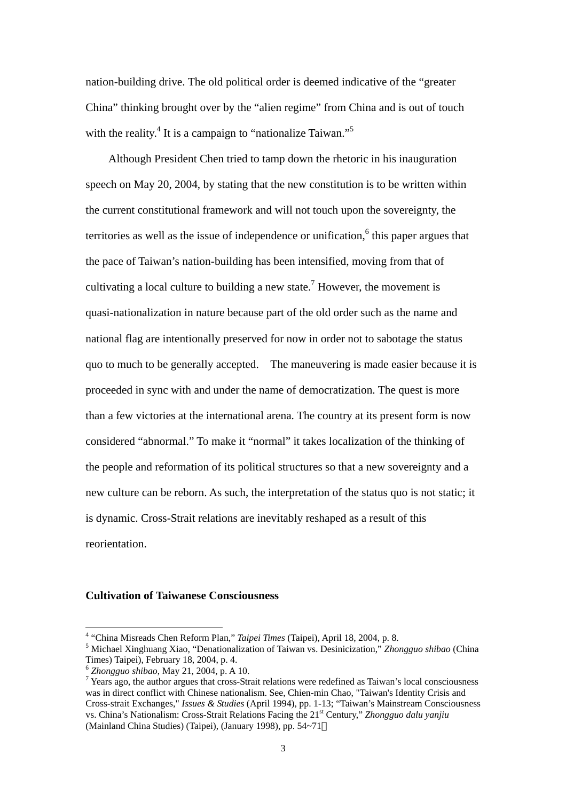nation-building drive. The old political order is deemed indicative of the "greater China" thinking brought over by the "alien regime" from China and is out of touch with the reality.<sup>[4](#page-3-0)</sup> It is a campaign to "nationalize Taiwan."<sup>[5](#page-3-1)</sup>

 Although President Chen tried to tamp down the rhetoric in his inauguration speech on May 20, 2004, by stating that the new constitution is to be written within the current constitutional framework and will not touch upon the sovereignty, the territories as well as the issue of independence or unification,  $6$  this paper argues that the pace of Taiwan's nation-building has been intensified, moving from that of cultivating a local culture to building a new state.<sup>[7](#page-3-3)</sup> However, the movement is quasi-nationalization in nature because part of the old order such as the name and national flag are intentionally preserved for now in order not to sabotage the status quo to much to be generally accepted. The maneuvering is made easier because it is proceeded in sync with and under the name of democratization. The quest is more than a few victories at the international arena. The country at its present form is now considered "abnormal." To make it "normal" it takes localization of the thinking of the people and reformation of its political structures so that a new sovereignty and a new culture can be reborn. As such, the interpretation of the status quo is not static; it is dynamic. Cross-Strait relations are inevitably reshaped as a result of this reorientation.

#### **Cultivation of Taiwanese Consciousness**

<span id="page-3-0"></span><sup>&</sup>lt;sup>4</sup> "China Misreads Chen Reform Plan," *Taipei Times* (Taipei), April 18, 2004, p. 8.<br><sup>5</sup> Michael Vinchuens View "Depationalization of Taiwan vs. Decinicization." Zho

<span id="page-3-1"></span>Michael Xinghuang Xiao, "Denationalization of Taiwan vs. Desinicization," *Zhongguo shibao* (China Times) Taipei), February 18, 2004, p. 4.<br><sup>6</sup> *Zhongguo shibao*, May 21, 2004, p. A 10.<br><sup>7</sup> Years ago, the author argues that cross-Strait relations were redefined as Taiwan's local consciousness

<span id="page-3-2"></span>

<span id="page-3-3"></span>was in direct conflict with Chinese nationalism. See, Chien-min Chao, "Taiwan's Identity Crisis and Cross-strait Exchanges," *Issues & Studies* (April 1994), pp. 1-13; "Taiwan's Mainstream Consciousness vs. China's Nationalism: Cross-Strait Relations Facing the 21st Century," *Zhongguo dalu yanjiu* (Mainland China Studies) (Taipei), (January 1998), pp. 54~71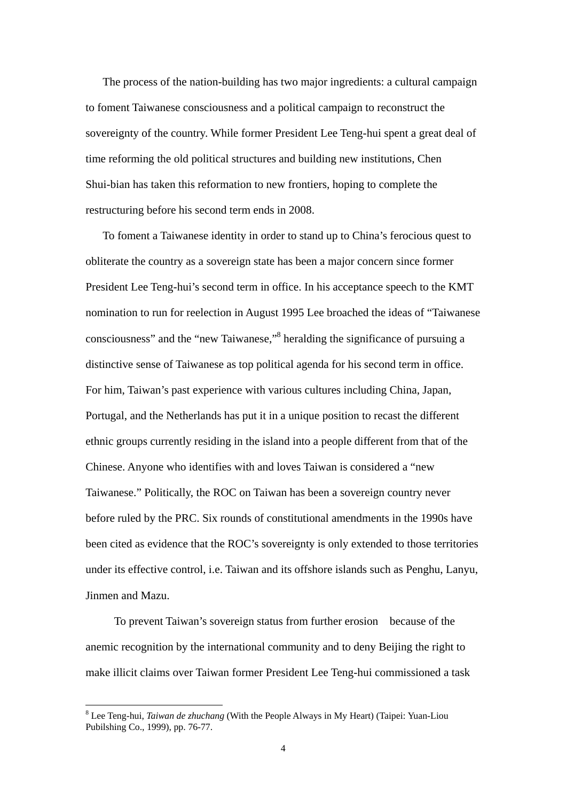The process of the nation-building has two major ingredients: a cultural campaign to foment Taiwanese consciousness and a political campaign to reconstruct the sovereignty of the country. While former President Lee Teng-hui spent a great deal of time reforming the old political structures and building new institutions, Chen Shui-bian has taken this reformation to new frontiers, hoping to complete the restructuring before his second term ends in 2008.

To foment a Taiwanese identity in order to stand up to China's ferocious quest to obliterate the country as a sovereign state has been a major concern since former President Lee Teng-hui's second term in office. In his acceptance speech to the KMT nomination to run for reelection in August 1995 Lee broached the ideas of "Taiwanese consciousness" and the "new Taiwanese,"<sup>8</sup> heralding the significance of pursuing a distinctive sense of Taiwanese as top political agenda for his second term in office. For him, Taiwan's past experience with various cultures including China, Japan, Portugal, and the Netherlands has put it in a unique position to recast the different ethnic groups currently residing in the island into a people different from that of the Chinese. Anyone who identifies with and loves Taiwan is considered a "new Taiwanese." Politically, the ROC on Taiwan has been a sovereign country never before ruled by the PRC. Six rounds of constitutional amendments in the 1990s have been cited as evidence that the ROC's sovereignty is only extended to those territories under its effective control, i.e. Taiwan and its offshore islands such as Penghu, Lanyu, Jinmen and Mazu.

 To prevent Taiwan's sovereign status from further erosion because of the anemic recognition by the international community and to deny Beijing the right to make illicit claims over Taiwan former President Lee Teng-hui commissioned a task

<span id="page-4-0"></span><sup>8</sup> Lee Teng-hui, *Taiwan de zhuchang* (With the People Always in My Heart) (Taipei: Yuan-Liou Pubilshing Co., 1999), pp. 76-77.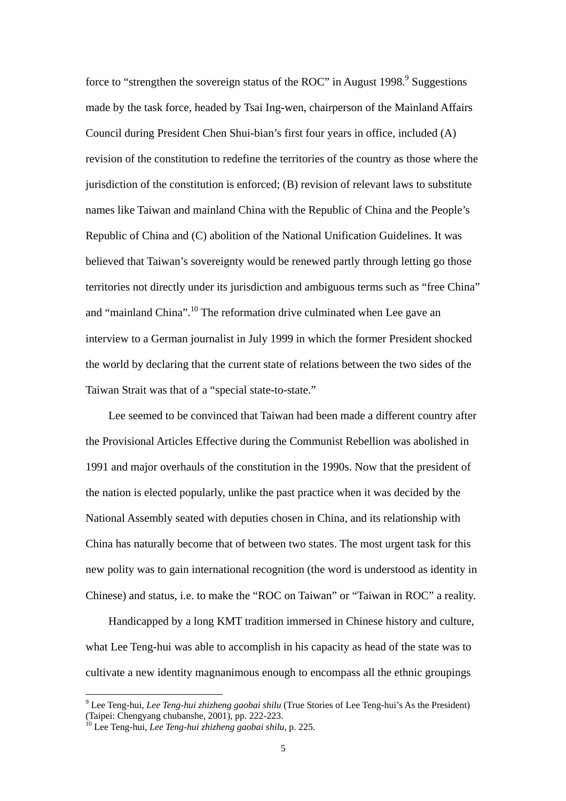force to "strengthen the sovereign status of the ROC" in August 1[9](#page-5-0)98. $9$  Suggestions made by the task force, headed by Tsai Ing-wen, chairperson of the Mainland Affairs Council during President Chen Shui-bian's first four years in office, included (A) revision of the constitution to redefine the territories of the country as those where the jurisdiction of the constitution is enforced; (B) revision of relevant laws to substitute names like Taiwan and mainland China with the Republic of China and the People's Republic of China and (C) abolition of the National Unification Guidelines. It was believed that Taiwan's sovereignty would be renewed partly through letting go those territories not directly under its jurisdiction and ambiguous terms such as "free China" and "mainland China".<sup>10</sup> The reformation drive culminated when Lee gave an interview to a German journalist in July 1999 in which the former President shocked the world by declaring that the current state of relations between the two sides of the Taiwan Strait was that of a "special state-to-state."

Lee seemed to be convinced that Taiwan had been made a different country after the Provisional Articles Effective during the Communist Rebellion was abolished in 1991 and major overhauls of the constitution in the 1990s. Now that the president of the nation is elected popularly, unlike the past practice when it was decided by the National Assembly seated with deputies chosen in China, and its relationship with China has naturally become that of between two states. The most urgent task for this new polity was to gain international recognition (the word is understood as identity in Chinese) and status, i.e. to make the "ROC on Taiwan" or "Taiwan in ROC" a reality.

Handicapped by a long KMT tradition immersed in Chinese history and culture, what Lee Teng-hui was able to accomplish in his capacity as head of the state was to cultivate a new identity magnanimous enough to encompass all the ethnic groupings

<span id="page-5-0"></span><sup>9</sup> Lee Teng-hui, *Lee Teng-hui zhizheng gaobai shilu* (True Stories of Lee Teng-hui's As the President) (Taipei: Chengyang chubanshe, 2001), pp. 222-223. 10 Lee Teng-hui, *Lee Teng-hui zhizheng gaobai shilu*, p. 225.

<span id="page-5-1"></span>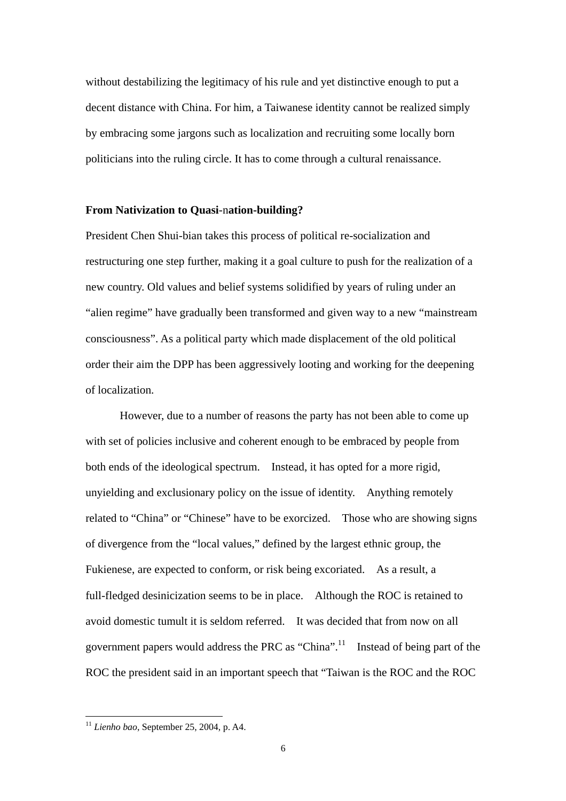without destabilizing the legitimacy of his rule and yet distinctive enough to put a decent distance with China. For him, a Taiwanese identity cannot be realized simply by embracing some jargons such as localization and recruiting some locally born politicians into the ruling circle. It has to come through a cultural renaissance.

#### **From Nativization to Quasi**-n**ation-building?**

President Chen Shui-bian takes this process of political re-socialization and restructuring one step further, making it a goal culture to push for the realization of a new country. Old values and belief systems solidified by years of ruling under an "alien regime" have gradually been transformed and given way to a new "mainstream consciousness". As a political party which made displacement of the old political order their aim the DPP has been aggressively looting and working for the deepening of localization.

However, due to a number of reasons the party has not been able to come up with set of policies inclusive and coherent enough to be embraced by people from both ends of the ideological spectrum. Instead, it has opted for a more rigid, unyielding and exclusionary policy on the issue of identity. Anything remotely related to "China" or "Chinese" have to be exorcized. Those who are showing signs of divergence from the "local values," defined by the largest ethnic group, the Fukienese, are expected to conform, or risk being excoriated. As a result, a full-fledged desinicization seems to be in place. Although the ROC is retained to avoid domestic tumult it is seldom referred. It was decided that from now on all government papers would address the PRC as "China".<sup>[11](#page-6-0)</sup> Instead of being part of the ROC the president said in an important speech that "Taiwan is the ROC and the ROC

<span id="page-6-0"></span><sup>11</sup> *Lienho bao*, September 25, 2004, p. A4.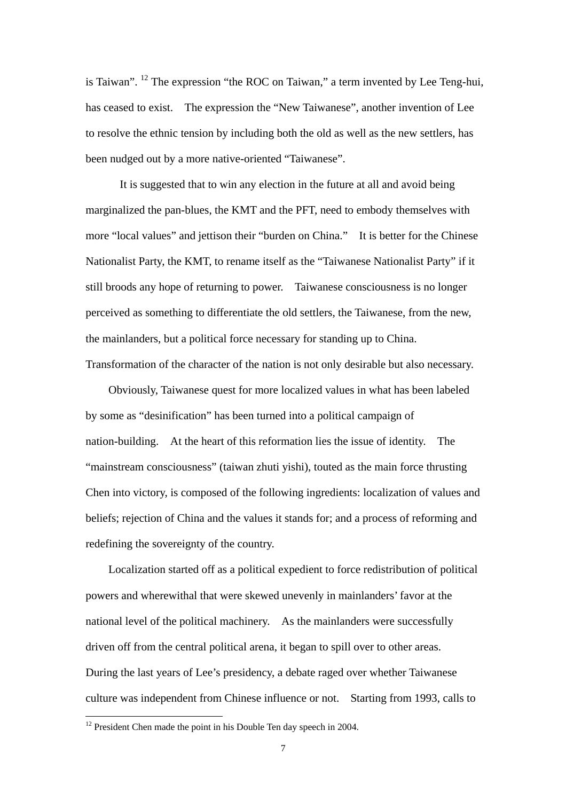is Taiwan". [12 T](#page-7-0)he expression "the ROC on Taiwan," a term invented by Lee Teng-hui, has ceased to exist. The expression the "New Taiwanese", another invention of Lee to resolve the ethnic tension by including both the old as well as the new settlers, has been nudged out by a more native-oriented "Taiwanese".

It is suggested that to win any election in the future at all and avoid being marginalized the pan-blues, the KMT and the PFT, need to embody themselves with more "local values" and jettison their "burden on China." It is better for the Chinese Nationalist Party, the KMT, to rename itself as the "Taiwanese Nationalist Party" if it still broods any hope of returning to power. Taiwanese consciousness is no longer perceived as something to differentiate the old settlers, the Taiwanese, from the new, the mainlanders, but a political force necessary for standing up to China. Transformation of the character of the nation is not only desirable but also necessary.

Obviously, Taiwanese quest for more localized values in what has been labeled by some as "desinification" has been turned into a political campaign of nation-building. At the heart of this reformation lies the issue of identity. The "mainstream consciousness" (taiwan zhuti yishi), touted as the main force thrusting Chen into victory, is composed of the following ingredients: localization of values and beliefs; rejection of China and the values it stands for; and a process of reforming and redefining the sovereignty of the country.

Localization started off as a political expedient to force redistribution of political powers and wherewithal that were skewed unevenly in mainlanders' favor at the national level of the political machinery. As the mainlanders were successfully driven off from the central political arena, it began to spill over to other areas. During the last years of Lee's presidency, a debate raged over whether Taiwanese culture was independent from Chinese influence or not. Starting from 1993, calls to

<span id="page-7-0"></span> $12$  President Chen made the point in his Double Ten day speech in 2004.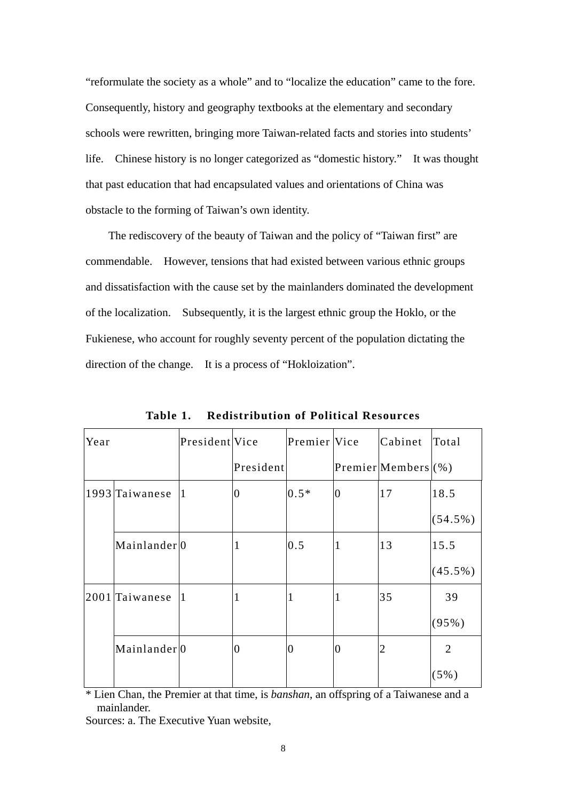"reformulate the society as a whole" and to "localize the education" came to the fore. Consequently, history and geography textbooks at the elementary and secondary schools were rewritten, bringing more Taiwan-related facts and stories into students' life. Chinese history is no longer categorized as "domestic history." It was thought that past education that had encapsulated values and orientations of China was obstacle to the forming of Taiwan's own identity.

The rediscovery of the beauty of Taiwan and the policy of "Taiwan first" are commendable. However, tensions that had existed between various ethnic groups and dissatisfaction with the cause set by the mainlanders dominated the development of the localization. Subsequently, it is the largest ethnic group the Hoklo, or the Fukienese, who account for roughly seventy percent of the population dictating the direction of the change. It is a process of "Hokloization".

| Year |                          | President Vice |                | Premier Vice |                | Cabinet                | Total          |
|------|--------------------------|----------------|----------------|--------------|----------------|------------------------|----------------|
|      |                          |                | President      |              |                | Premier Members $(\%)$ |                |
|      | 1993 Taiwanese           | 11.            | $\overline{0}$ | $0.5*$       | $\overline{0}$ | 17                     | 18.5           |
|      |                          |                |                |              |                |                        | $(54.5\%)$     |
|      | Mainlander <sup>10</sup> |                | 1              | 0.5          | $\mathbf{1}$   | 13                     | 15.5           |
|      |                          |                |                |              |                |                        | $(45.5\%)$     |
|      | 2001 Taiwanese           | 11             | 1              |              | $\mathbf{1}$   | 35                     | 39             |
|      |                          |                |                |              |                |                        | (95%)          |
|      | Mainlander <sup>0</sup>  |                | 0              | $\Omega$     | $\overline{0}$ | 2                      | $\overline{2}$ |
|      |                          |                |                |              |                |                        | $(5\%)$        |

**Table 1. Redistribution of Political Resources** 

\* Lien Chan, the Premier at that time, is *banshan*, an offspring of a Taiwanese and a mainlander.

Sources: a. The Executive Yuan website,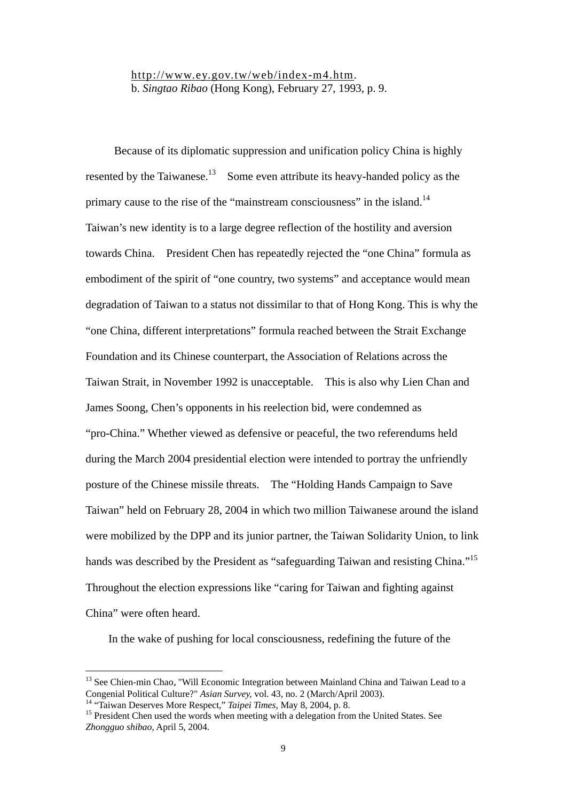[http://www.ey.gov.tw/web/index-m4.htm.](http://www.ey.gov.tw/web/index-m4.htm) b. *Singtao Ribao* (Hong Kong), February 27, 1993, p. 9.

 Because of its diplomatic suppression and unification policy China is highly resented by the Taiwanese.<sup>[13](#page-9-0)</sup> Some even attribute its heavy-handed policy as the primary cause to the rise of the "mainstream consciousness" in the island.<sup>14</sup> Taiwan's new identity is to a large degree reflection of the hostility and aversion towards China. President Chen has repeatedly rejected the "one China" formula as embodiment of the spirit of "one country, two systems" and acceptance would mean degradation of Taiwan to a status not dissimilar to that of Hong Kong. This is why the "one China, different interpretations" formula reached between the Strait Exchange Foundation and its Chinese counterpart, the Association of Relations across the Taiwan Strait, in November 1992 is unacceptable. This is also why Lien Chan and James Soong, Chen's opponents in his reelection bid, were condemned as "pro-China." Whether viewed as defensive or peaceful, the two referendums held during the March 2004 presidential election were intended to portray the unfriendly posture of the Chinese missile threats. The "Holding Hands Campaign to Save Taiwan" held on February 28, 2004 in which two million Taiwanese around the island were mobilized by the DPP and its junior partner, the Taiwan Solidarity Union, to link hands was described by the President as "safeguarding Taiwan and resisting China."<sup>15</sup> Throughout the election expressions like "caring for Taiwan and fighting against China" were often heard.

In the wake of pushing for local consciousness, redefining the future of the

<span id="page-9-0"></span><sup>&</sup>lt;sup>13</sup> See Chien-min Chao, "Will Economic Integration between Mainland China and Taiwan Lead to a Congenial Political Culture?" *Asian Survey*, vol. 43, no. 2 (March/April 2003).<br><sup>14</sup> "Taiwan Deserves More Respect," *Taipei Times*, May 8, 2004, p. 8.<br><sup>15</sup> President Chen used the words when meeting with a delegation fro

<span id="page-9-1"></span>

<span id="page-9-2"></span>*Zhongguo shibao*, April 5, 2004.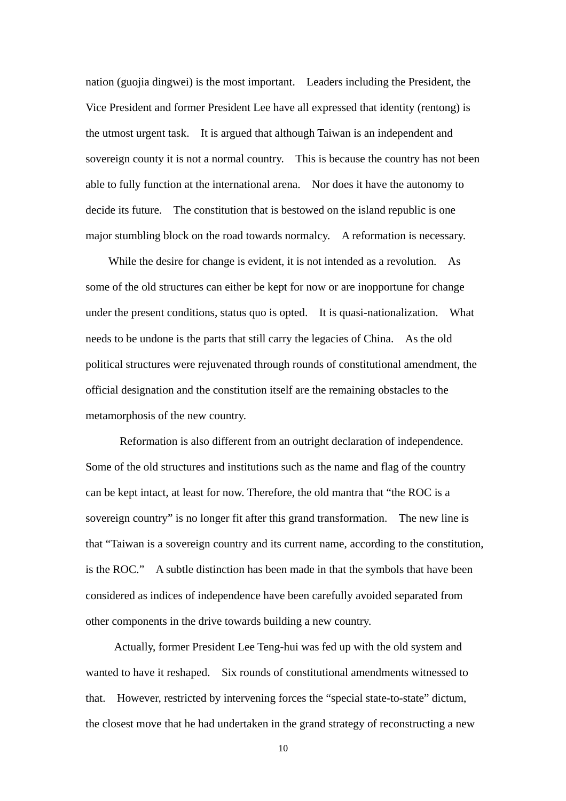nation (guojia dingwei) is the most important. Leaders including the President, the Vice President and former President Lee have all expressed that identity (rentong) is the utmost urgent task. It is argued that although Taiwan is an independent and sovereign county it is not a normal country. This is because the country has not been able to fully function at the international arena. Nor does it have the autonomy to decide its future. The constitution that is bestowed on the island republic is one major stumbling block on the road towards normalcy. A reformation is necessary.

While the desire for change is evident, it is not intended as a revolution. As some of the old structures can either be kept for now or are inopportune for change under the present conditions, status quo is opted. It is quasi-nationalization. What needs to be undone is the parts that still carry the legacies of China. As the old political structures were rejuvenated through rounds of constitutional amendment, the official designation and the constitution itself are the remaining obstacles to the metamorphosis of the new country.

Reformation is also different from an outright declaration of independence. Some of the old structures and institutions such as the name and flag of the country can be kept intact, at least for now. Therefore, the old mantra that "the ROC is a sovereign country" is no longer fit after this grand transformation. The new line is that "Taiwan is a sovereign country and its current name, according to the constitution, is the ROC." A subtle distinction has been made in that the symbols that have been considered as indices of independence have been carefully avoided separated from other components in the drive towards building a new country.

Actually, former President Lee Teng-hui was fed up with the old system and wanted to have it reshaped. Six rounds of constitutional amendments witnessed to that. However, restricted by intervening forces the "special state-to-state" dictum, the closest move that he had undertaken in the grand strategy of reconstructing a new

10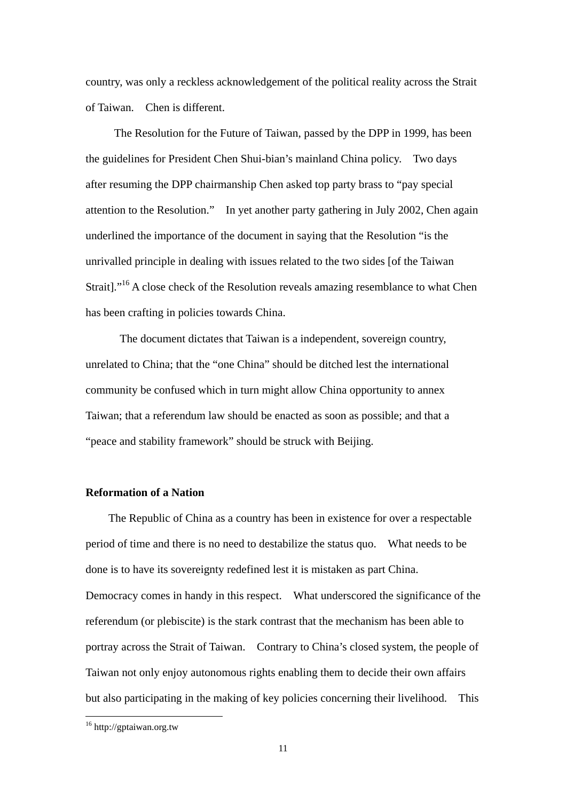country, was only a reckless acknowledgement of the political reality across the Strait of Taiwan. Chen is different.

The Resolution for the Future of Taiwan, passed by the DPP in 1999, has been the guidelines for President Chen Shui-bian's mainland China policy. Two days after resuming the DPP chairmanship Chen asked top party brass to "pay special attention to the Resolution." In yet another party gathering in July 2002, Chen again underlined the importance of the document in saying that the Resolution "is the unrivalled principle in dealing with issues related to the two sides [of the Taiwan Strait].["16](#page-11-0) A close check of the Resolution reveals amazing resemblance to what Chen has been crafting in policies towards China.

 The document dictates that Taiwan is a independent, sovereign country, unrelated to China; that the "one China" should be ditched lest the international community be confused which in turn might allow China opportunity to annex Taiwan; that a referendum law should be enacted as soon as possible; and that a "peace and stability framework" should be struck with Beijing.

#### **Reformation of a Nation**

The Republic of China as a country has been in existence for over a respectable period of time and there is no need to destabilize the status quo. What needs to be done is to have its sovereignty redefined lest it is mistaken as part China. Democracy comes in handy in this respect. What underscored the significance of the referendum (or plebiscite) is the stark contrast that the mechanism has been able to portray across the Strait of Taiwan. Contrary to China's closed system, the people of Taiwan not only enjoy autonomous rights enabling them to decide their own affairs but also participating in the making of key policies concerning their livelihood. This

<span id="page-11-0"></span><sup>&</sup>lt;sup>16</sup> http://gptaiwan.org.tw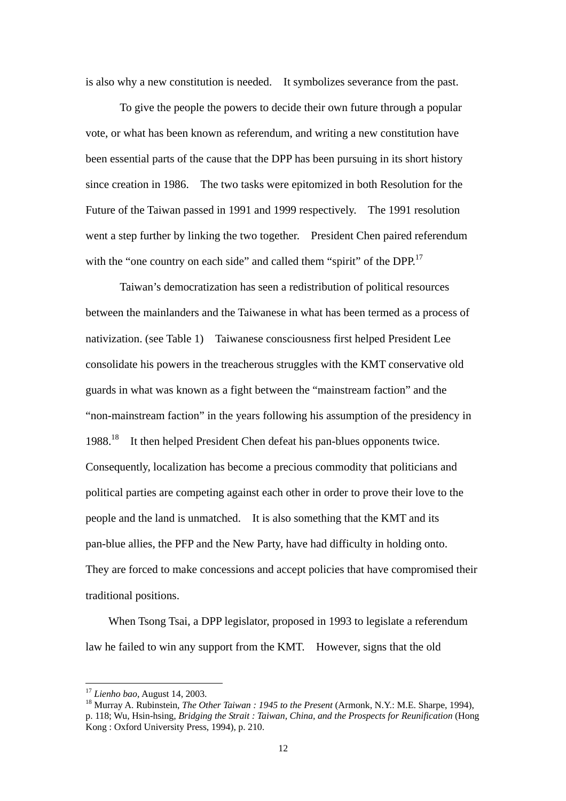is also why a new constitution is needed. It symbolizes severance from the past.

 To give the people the powers to decide their own future through a popular vote, or what has been known as referendum, and writing a new constitution have been essential parts of the cause that the DPP has been pursuing in its short history since creation in 1986. The two tasks were epitomized in both Resolution for the Future of the Taiwan passed in 1991 and 1999 respectively. The 1991 resolution went a step further by linking the two together. President Chen paired referendum with the "one country on each side" and called them "spirit" of the  $DPP$ <sup>[17](#page-12-0)</sup>

 Taiwan's democratization has seen a redistribution of political resources between the mainlanders and the Taiwanese in what has been termed as a process of nativization. (see Table 1) Taiwanese consciousness first helped President Lee consolidate his powers in the treacherous struggles with the KMT conservative old guards in what was known as a fight between the "mainstream faction" and the "non-mainstream faction" in the years following his assumption of the presidency in 1988.<sup>[18](#page-12-1)</sup> It then helped President Chen defeat his pan-blues opponents twice. Consequently, localization has become a precious commodity that politicians and political parties are competing against each other in order to prove their love to the people and the land is unmatched. It is also something that the KMT and its pan-blue allies, the PFP and the New Party, have had difficulty in holding onto. They are forced to make concessions and accept policies that have compromised their traditional positions.

 When Tsong Tsai, a DPP legislator, proposed in 1993 to legislate a referendum law he failed to win any support from the KMT. However, signs that the old

<span id="page-12-1"></span><span id="page-12-0"></span>

<sup>&</sup>lt;sup>17</sup> *Lienho bao*, August 14, 2003.<br><sup>18</sup> Murray A. Rubinstein, *The Other Taiwan : 1945 to the Present* (Armonk, N.Y.: M.E. Sharpe, 1994), p. 118; Wu, Hsin-hsing, *Bridging the Strait : Taiwan, China, and the Prospects for Reunification* (Hong Kong : Oxford University Press, 1994), p. 210.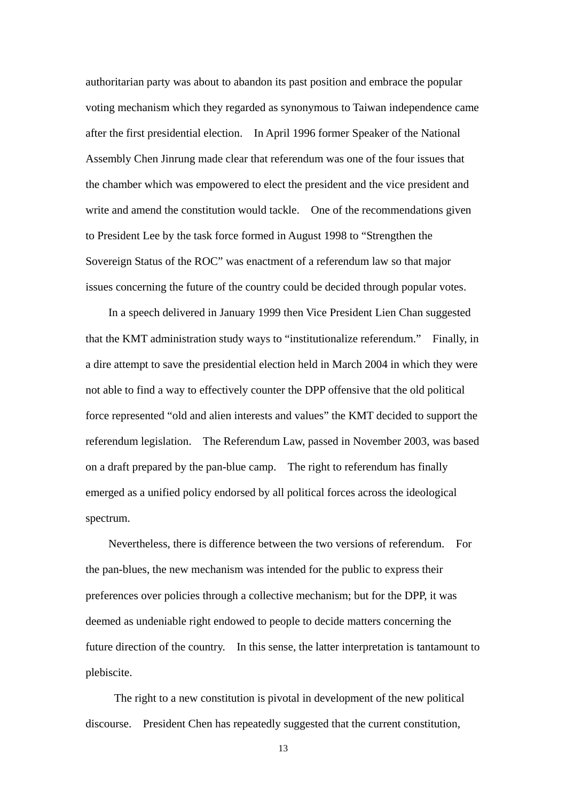authoritarian party was about to abandon its past position and embrace the popular voting mechanism which they regarded as synonymous to Taiwan independence came after the first presidential election. In April 1996 former Speaker of the National Assembly Chen Jinrung made clear that referendum was one of the four issues that the chamber which was empowered to elect the president and the vice president and write and amend the constitution would tackle. One of the recommendations given to President Lee by the task force formed in August 1998 to "Strengthen the Sovereign Status of the ROC" was enactment of a referendum law so that major issues concerning the future of the country could be decided through popular votes.

In a speech delivered in January 1999 then Vice President Lien Chan suggested that the KMT administration study ways to "institutionalize referendum." Finally, in a dire attempt to save the presidential election held in March 2004 in which they were not able to find a way to effectively counter the DPP offensive that the old political force represented "old and alien interests and values" the KMT decided to support the referendum legislation. The Referendum Law, passed in November 2003, was based on a draft prepared by the pan-blue camp. The right to referendum has finally emerged as a unified policy endorsed by all political forces across the ideological spectrum.

Nevertheless, there is difference between the two versions of referendum. For the pan-blues, the new mechanism was intended for the public to express their preferences over policies through a collective mechanism; but for the DPP, it was deemed as undeniable right endowed to people to decide matters concerning the future direction of the country. In this sense, the latter interpretation is tantamount to plebiscite.

The right to a new constitution is pivotal in development of the new political discourse. President Chen has repeatedly suggested that the current constitution,

13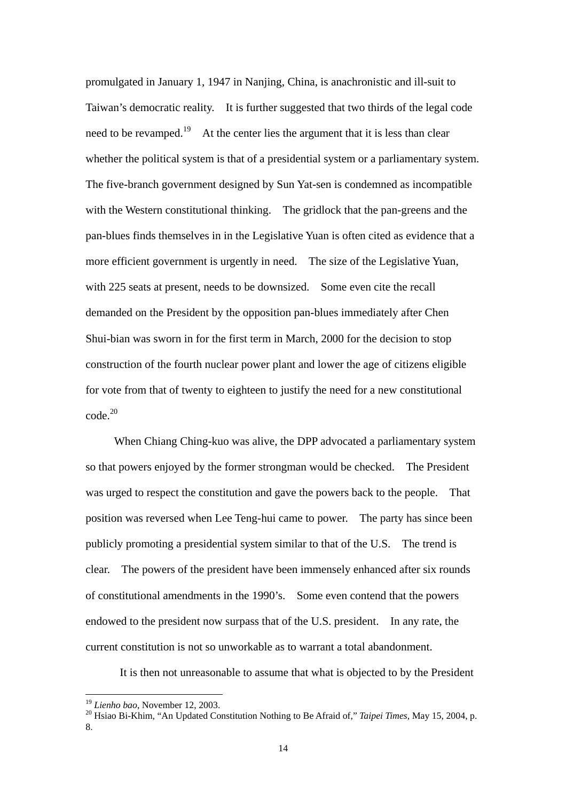promulgated in January 1, 1947 in Nanjing, China, is anachronistic and ill-suit to Taiwan's democratic reality. It is further suggested that two thirds of the legal code need to be revamped.<sup>[19](#page-14-0)</sup> At the center lies the argument that it is less than clear whether the political system is that of a presidential system or a parliamentary system. The five-branch government designed by Sun Yat-sen is condemned as incompatible with the Western constitutional thinking. The gridlock that the pan-greens and the pan-blues finds themselves in in the Legislative Yuan is often cited as evidence that a more efficient government is urgently in need. The size of the Legislative Yuan, with 225 seats at present, needs to be downsized. Some even cite the recall demanded on the President by the opposition pan-blues immediately after Chen Shui-bian was sworn in for the first term in March, 2000 for the decision to stop construction of the fourth nuclear power plant and lower the age of citizens eligible for vote from that of twenty to eighteen to justify the need for a new constitutional  $\mathrm{code}^{20}$  $\mathrm{code}^{20}$  $\mathrm{code}^{20}$ 

 When Chiang Ching-kuo was alive, the DPP advocated a parliamentary system so that powers enjoyed by the former strongman would be checked. The President was urged to respect the constitution and gave the powers back to the people. That position was reversed when Lee Teng-hui came to power. The party has since been publicly promoting a presidential system similar to that of the U.S. The trend is clear. The powers of the president have been immensely enhanced after six rounds of constitutional amendments in the 1990's. Some even contend that the powers endowed to the president now surpass that of the U.S. president. In any rate, the current constitution is not so unworkable as to warrant a total abandonment.

It is then not unreasonable to assume that what is objected to by the President

<span id="page-14-1"></span><span id="page-14-0"></span>

<sup>&</sup>lt;sup>19</sup> *Lienho bao*, November 12, 2003.<br><sup>20</sup> Hsiao Bi-Khim. "An Updated Constitution Nothing to Be Afraid of," *Taipei Times*, May 15, 2004, p. 8.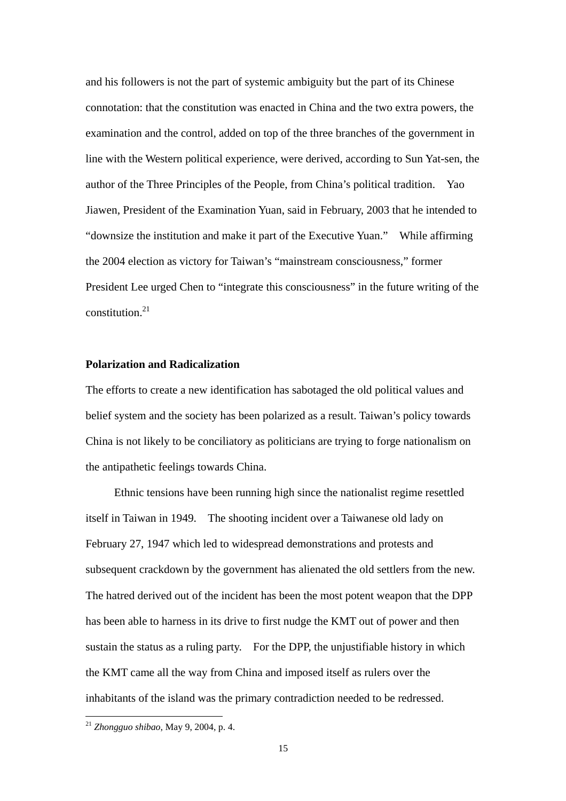and his followers is not the part of systemic ambiguity but the part of its Chinese connotation: that the constitution was enacted in China and the two extra powers, the examination and the control, added on top of the three branches of the government in line with the Western political experience, were derived, according to Sun Yat-sen, the author of the Three Principles of the People, from China's political tradition. Yao Jiawen, President of the Examination Yuan, said in February, 2003 that he intended to "downsize the institution and make it part of the Executive Yuan." While affirming the 2004 election as victory for Taiwan's "mainstream consciousness," former President Lee urged Chen to "integrate this consciousness" in the future writing of the constitution. $21$ 

## **Polarization and Radicalization**

The efforts to create a new identification has sabotaged the old political values and belief system and the society has been polarized as a result. Taiwan's policy towards China is not likely to be conciliatory as politicians are trying to forge nationalism on the antipathetic feelings towards China.

 Ethnic tensions have been running high since the nationalist regime resettled itself in Taiwan in 1949. The shooting incident over a Taiwanese old lady on February 27, 1947 which led to widespread demonstrations and protests and subsequent crackdown by the government has alienated the old settlers from the new. The hatred derived out of the incident has been the most potent weapon that the DPP has been able to harness in its drive to first nudge the KMT out of power and then sustain the status as a ruling party. For the DPP, the unjustifiable history in which the KMT came all the way from China and imposed itself as rulers over the inhabitants of the island was the primary contradiction needed to be redressed.

<span id="page-15-0"></span><sup>21</sup> *Zhongguo shibao*, May 9, 2004, p. 4.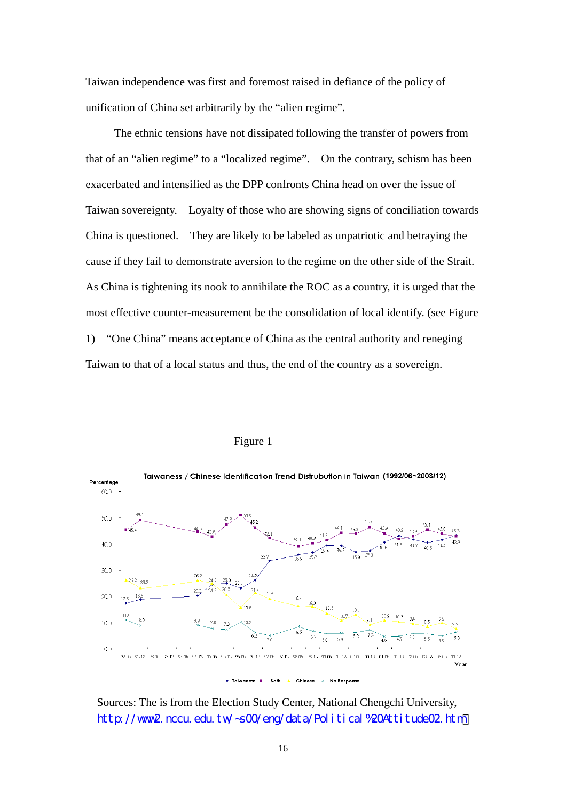Taiwan independence was first and foremost raised in defiance of the policy of unification of China set arbitrarily by the "alien regime".

The ethnic tensions have not dissipated following the transfer of powers from that of an "alien regime" to a "localized regime". On the contrary, schism has been exacerbated and intensified as the DPP confronts China head on over the issue of Taiwan sovereignty. Loyalty of those who are showing signs of conciliation towards China is questioned. They are likely to be labeled as unpatriotic and betraying the cause if they fail to demonstrate aversion to the regime on the other side of the Strait. As China is tightening its nook to annihilate the ROC as a country, it is urged that the most effective counter-measurement be the consolidation of local identify. (see Figure 1) "One China" means acceptance of China as the central authority and reneging Taiwan to that of a local status and thus, the end of the country as a sovereign.



## Figure 1

Sources: The is from the Election Study Center, National Chengchi University, [http://www2.nccu.edu.tw/~s00/eng/data/Political%20Attitude02.htm](http://www2.nccu.edu.tw/~s00/eng/data/Political Attitude02.htm)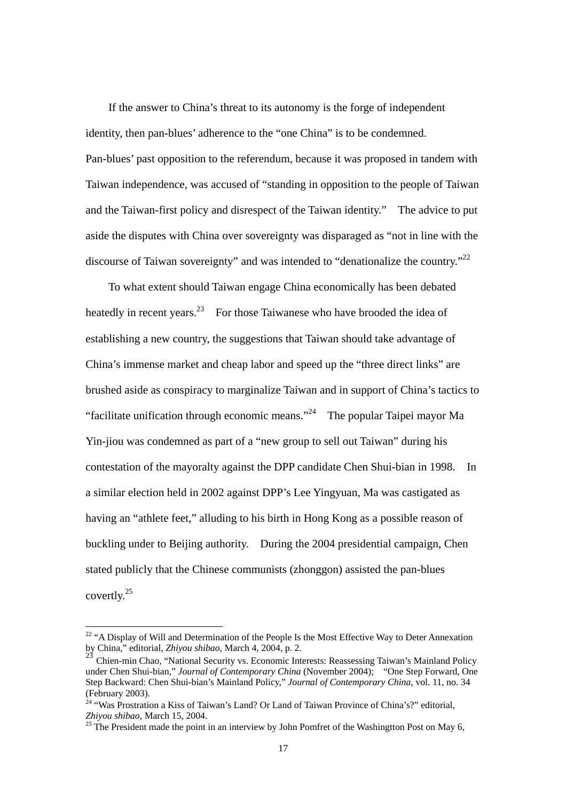If the answer to China's threat to its autonomy is the forge of independent identity, then pan-blues' adherence to the "one China" is to be condemned. Pan-blues' past opposition to the referendum, because it was proposed in tandem with Taiwan independence, was accused of "standing in opposition to the people of Taiwan and the Taiwan-first policy and disrespect of the Taiwan identity." The advice to put aside the disputes with China over sovereignty was disparaged as "not in line with the discourse of Taiwan sovereignty" and was intended to "denationalize the country."<sup>22</sup>

To what extent should Taiwan engage China economically has been debated heatedly in recent years.<sup>[23](#page-17-1)</sup> For those Taiwanese who have brooded the idea of establishing a new country, the suggestions that Taiwan should take advantage of China's immense market and cheap labor and speed up the "three direct links" are brushed aside as conspiracy to marginalize Taiwan and in support of China's tactics to "facilitate unification through economic means."[24](#page-17-2) The popular Taipei mayor Ma Yin-jiou was condemned as part of a "new group to sell out Taiwan" during his contestation of the mayoralty against the DPP candidate Chen Shui-bian in 1998. In a similar election held in 2002 against DPP's Lee Yingyuan, Ma was castigated as having an "athlete feet," alluding to his birth in Hong Kong as a possible reason of buckling under to Beijing authority. During the 2004 presidential campaign, Chen stated publicly that the Chinese communists (zhonggon) assisted the pan-blues covertly. [25](#page-17-3) 

<span id="page-17-0"></span> $22$  "A Display of Will and Determination of the People Is the Most Effective Way to Deter Annexation by China," editorial, *Zhiyou shibao*, March 4, 2004, p. 2. <sup>23</sup> Chien-min Chao, "National Security vs. Economic Interests: Reassessing Taiwan's Mainland Policy

<span id="page-17-1"></span>under Chen Shui-bian," *Journal of Contemporary China* (November 2004); "One Step Forward, One Step Backward: Chen Shui-bian's Mainland Policy," *Journal of Contemporary China*, vol. 11, no. 34 (February 2003). 24 "Was Prostration a Kiss of Taiwan's Land? Or Land of Taiwan Province of China's?" editorial,

<span id="page-17-2"></span>*Zhiyou shibao*, March 15, 2004.<br><sup>25</sup> The President made the point in an interview by John Pomfret of the Washingtton Post on May 6,

<span id="page-17-3"></span>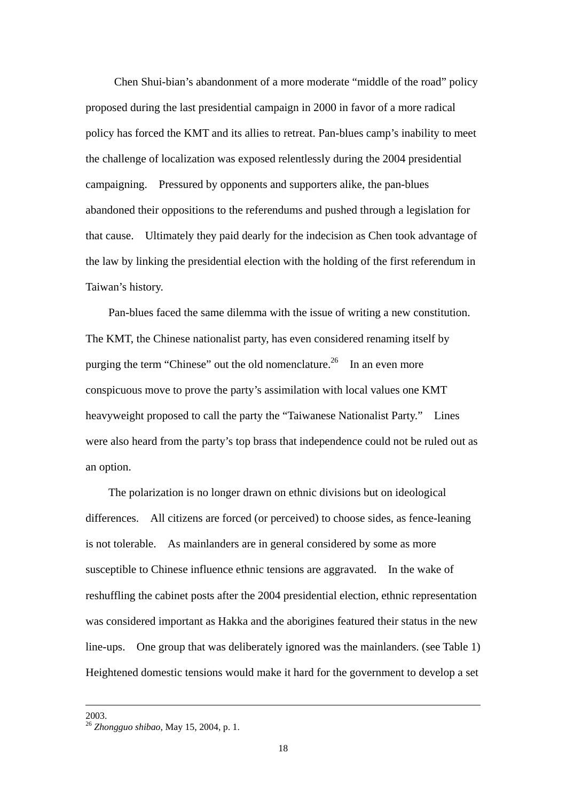Chen Shui-bian's abandonment of a more moderate "middle of the road" policy proposed during the last presidential campaign in 2000 in favor of a more radical policy has forced the KMT and its allies to retreat. Pan-blues camp's inability to meet the challenge of localization was exposed relentlessly during the 2004 presidential campaigning. Pressured by opponents and supporters alike, the pan-blues abandoned their oppositions to the referendums and pushed through a legislation for that cause. Ultimately they paid dearly for the indecision as Chen took advantage of the law by linking the presidential election with the holding of the first referendum in Taiwan's history.

Pan-blues faced the same dilemma with the issue of writing a new constitution. The KMT, the Chinese nationalist party, has even considered renaming itself by purging the term "Chinese" out the old nomenclature.<sup>[26](#page-18-0)</sup> In an even more conspicuous move to prove the party's assimilation with local values one KMT heavyweight proposed to call the party the "Taiwanese Nationalist Party." Lines were also heard from the party's top brass that independence could not be ruled out as an option.

The polarization is no longer drawn on ethnic divisions but on ideological differences. All citizens are forced (or perceived) to choose sides, as fence-leaning is not tolerable. As mainlanders are in general considered by some as more susceptible to Chinese influence ethnic tensions are aggravated. In the wake of reshuffling the cabinet posts after the 2004 presidential election, ethnic representation was considered important as Hakka and the aborigines featured their status in the new line-ups. One group that was deliberately ignored was the mainlanders. (see Table 1) Heightened domestic tensions would make it hard for the government to develop a set

<span id="page-18-0"></span>

 <sup>2003. 26</sup> *Zhongguo shibao*, May 15, 2004, p. 1.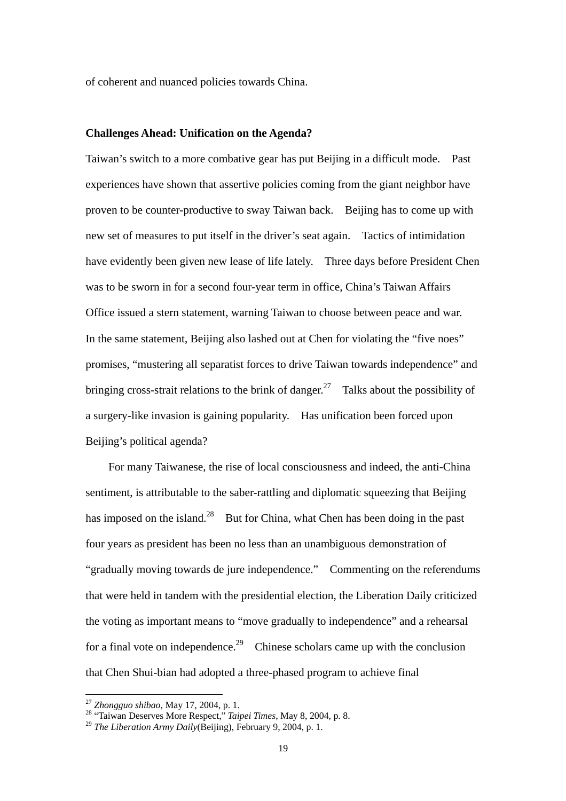of coherent and nuanced policies towards China.

#### **Challenges Ahead: Unification on the Agenda?**

Taiwan's switch to a more combative gear has put Beijing in a difficult mode. Past experiences have shown that assertive policies coming from the giant neighbor have proven to be counter-productive to sway Taiwan back. Beijing has to come up with new set of measures to put itself in the driver's seat again. Tactics of intimidation have evidently been given new lease of life lately. Three days before President Chen was to be sworn in for a second four-year term in office, China's Taiwan Affairs Office issued a stern statement, warning Taiwan to choose between peace and war. In the same statement, Beijing also lashed out at Chen for violating the "five noes" promises, "mustering all separatist forces to drive Taiwan towards independence" and bringing cross-strait relations to the brink of danger.<sup>[27](#page-19-0)</sup> Talks about the possibility of a surgery-like invasion is gaining popularity. Has unification been forced upon Beijing's political agenda?

For many Taiwanese, the rise of local consciousness and indeed, the anti-China sentiment, is attributable to the saber-rattling and diplomatic squeezing that Beijing has imposed on the island.<sup>[28](#page-19-1)</sup> But for China, what Chen has been doing in the past four years as president has been no less than an unambiguous demonstration of "gradually moving towards de jure independence." Commenting on the referendums that were held in tandem with the presidential election, the Liberation Daily criticized the voting as important means to "move gradually to independence" and a rehearsal for a final vote on independence.<sup>29</sup> Chinese scholars came up with the conclusion that Chen Shui-bian had adopted a three-phased program to achieve final

<span id="page-19-1"></span><span id="page-19-0"></span>

<sup>27</sup> *Zhongguo shibao*, May 17, 2004, p. 1. 28 "Taiwan Deserves More Respect," *Taipei Times*, May 8, 2004, p. 8. <sup>29</sup> *The Liberation Army Daily*(Beijing), February 9, 2004, p. 1.

<span id="page-19-2"></span>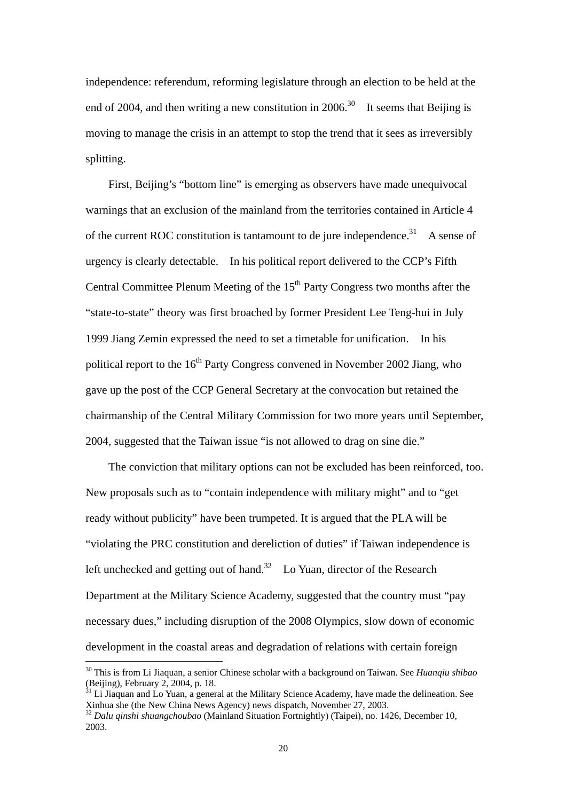independence: referendum, reforming legislature through an election to be held at the end of 2004, and then writing a new constitution in 2006.<sup>30</sup> It seems that Beijing is moving to manage the crisis in an attempt to stop the trend that it sees as irreversibly splitting.

First, Beijing's "bottom line" is emerging as observers have made unequivocal warnings that an exclusion of the mainland from the territories contained in Article 4 of the current ROC constitution is tantamount to de jure independence.<sup>31</sup> A sense of urgency is clearly detectable. In his political report delivered to the CCP's Fifth Central Committee Plenum Meeting of the  $15<sup>th</sup>$  Party Congress two months after the "state-to-state" theory was first broached by former President Lee Teng-hui in July 1999 Jiang Zemin expressed the need to set a timetable for unification. In his political report to the  $16<sup>th</sup>$  Party Congress convened in November 2002 Jiang, who gave up the post of the CCP General Secretary at the convocation but retained the chairmanship of the Central Military Commission for two more years until September, 2004, suggested that the Taiwan issue "is not allowed to drag on sine die."

The conviction that military options can not be excluded has been reinforced, too. New proposals such as to "contain independence with military might" and to "get ready without publicity" have been trumpeted. It is argued that the PLA will be "violating the PRC constitution and dereliction of duties" if Taiwan independence is left unchecked and getting out of hand.<sup>[32](#page-20-2)</sup> Lo Yuan, director of the Research Department at the Military Science Academy, suggested that the country must "pay necessary dues," including disruption of the 2008 Olympics, slow down of economic development in the coastal areas and degradation of relations with certain foreign

<span id="page-20-0"></span><sup>&</sup>lt;sup>30</sup> This is from Li Jiaquan, a senior Chinese scholar with a background on Taiwan. See *Huanqiu shibao* (Beijing), February 2, 2004, p. 18.

<span id="page-20-1"></span> $\frac{31}{11}$  Li Jiaquan and Lo Yuan, a general at the Military Science Academy, have made the delineation. See Xinhua she (the New China News Agency) news dispatch, November 27, 2003.

<span id="page-20-2"></span><sup>&</sup>lt;sup>32</sup> Dalu qinshi shuangchoubao (Mainland Situation Fortnightly) (Taipei), no. 1426, December 10, 2003.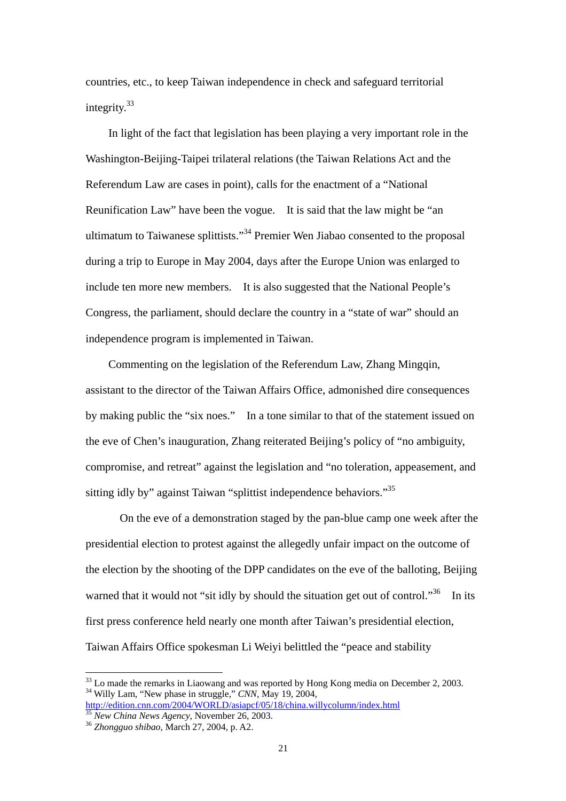countries, etc., to keep Taiwan independence in check and safeguard territorial integrity.<sup>[33](#page-21-0)</sup>

In light of the fact that legislation has been playing a very important role in the Washington-Beijing-Taipei trilateral relations (the Taiwan Relations Act and the Referendum Law are cases in point), calls for the enactment of a "National Reunification Law" have been the vogue. It is said that the law might be "an ultimatum to Taiwanese splittists."[34 P](#page-21-1)remier Wen Jiabao consented to the proposal during a trip to Europe in May 2004, days after the Europe Union was enlarged to include ten more new members. It is also suggested that the National People's Congress, the parliament, should declare the country in a "state of war" should an independence program is implemented in Taiwan.

Commenting on the legislation of the Referendum Law, Zhang Mingqin, assistant to the director of the Taiwan Affairs Office, admonished dire consequences by making public the "six noes." In a tone similar to that of the statement issued on the eve of Chen's inauguration, Zhang reiterated Beijing's policy of "no ambiguity, compromise, and retreat" against the legislation and "no toleration, appeasement, and sitting idly by" against Taiwan "splittist independence behaviors."<sup>35</sup>

On the eve of a demonstration staged by the pan-blue camp one week after the presidential election to protest against the allegedly unfair impact on the outcome of the election by the shooting of the DPP candidates on the eve of the balloting, Beijing warned that it would not "sit idly by should the situation get out of control."<sup>36</sup> In its first press conference held nearly one month after Taiwan's presidential election, Taiwan Affairs Office spokesman Li Weiyi belittled the "peace and stability

<span id="page-21-1"></span><span id="page-21-0"></span><sup>&</sup>lt;sup>33</sup> Lo made the remarks in Liaowang and was reported by Hong Kong media on December 2, 2003.<br><sup>34</sup> Willy Lam, "New phase in struggle," *CNN*, May 19, 2004, <http://edition.cnn.com/2004/WORLD/asiapcf/05/18/china.willycolumn/index.html> <sup>35</sup> *New China News Agency*, November 26, 2003. 36 *Zhongguo shibao*, March 27, 2004, p. A2.

<span id="page-21-2"></span>

<span id="page-21-3"></span>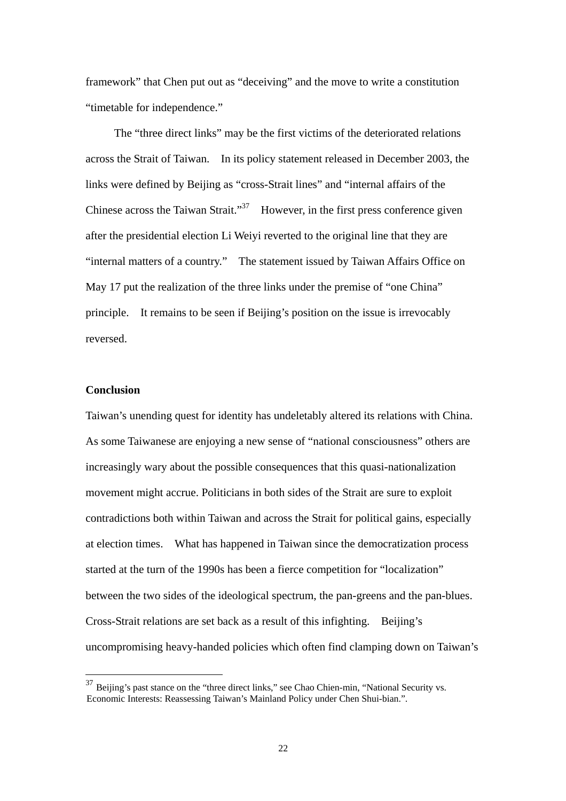framework" that Chen put out as "deceiving" and the move to write a constitution "timetable for independence."

The "three direct links" may be the first victims of the deteriorated relations across the Strait of Taiwan. In its policy statement released in December 2003, the links were defined by Beijing as "cross-Strait lines" and "internal affairs of the Chinese across the Taiwan Strait."<sup>37</sup> However, in the first press conference given after the presidential election Li Weiyi reverted to the original line that they are "internal matters of a country." The statement issued by Taiwan Affairs Office on May 17 put the realization of the three links under the premise of "one China" principle. It remains to be seen if Beijing's position on the issue is irrevocably reversed.

# **Conclusion**

 $\overline{a}$ 

Taiwan's unending quest for identity has undeletably altered its relations with China. As some Taiwanese are enjoying a new sense of "national consciousness" others are increasingly wary about the possible consequences that this quasi-nationalization movement might accrue. Politicians in both sides of the Strait are sure to exploit contradictions both within Taiwan and across the Strait for political gains, especially at election times. What has happened in Taiwan since the democratization process started at the turn of the 1990s has been a fierce competition for "localization" between the two sides of the ideological spectrum, the pan-greens and the pan-blues. Cross-Strait relations are set back as a result of this infighting. Beijing's uncompromising heavy-handed policies which often find clamping down on Taiwan's

<span id="page-22-0"></span> $37$  Beijing's past stance on the "three direct links," see Chao Chien-min, "National Security vs. Economic Interests: Reassessing Taiwan's Mainland Policy under Chen Shui-bian.".